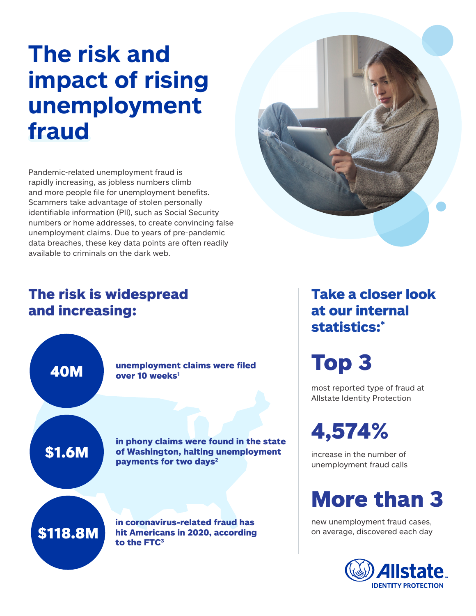# **The risk and impact of rising unemployment fraud**

Pandemic-related unemployment fraud is rapidly increasing, as jobless numbers climb and more people file for unemployment benefits. Scammers take advantage of stolen personally identifiable information (PII), such as Social Security numbers or home addresses, to create convincing false unemployment claims. Due to years of pre-pandemic data breaches, these key data points are often readily available to criminals on the dark web.



### The risk is widespread and increasing:



Take a closer look at our internal statistics:\*

Top 3

most reported type of fraud at Allstate Identity Protection

4,574%

increase in the number of unemployment fraud calls

## More than 3

new unemployment fraud cases, on average, discovered each day